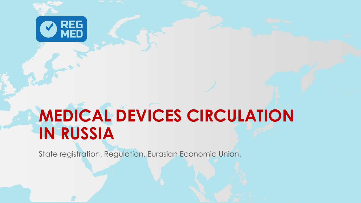

# **MEDICAL DEVICES CIRCULATION IN RUSSIA**

State registration. Regulation. Eurasian Economic Union.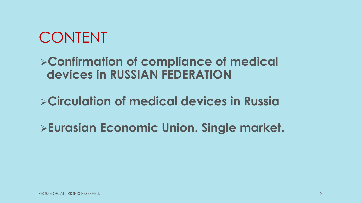# CONTENT

### **Confirmation of compliance of medical devices in RUSSIAN FEDERATION**

# **Circulation of medical devices in Russia**

# **Eurasian Economic Union. Single market.**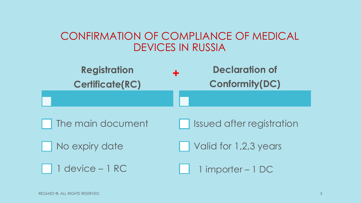### CONFIRMATION OF COMPLIANCE OF MEDICAL DEVICES IN RUSSIA

| <b>Registration</b><br><b>Certificate(RC)</b> | <b>Declaration of</b><br>÷<br><b>Conformity(DC)</b> |
|-----------------------------------------------|-----------------------------------------------------|
|                                               |                                                     |
| The main document                             | Issued after registration                           |
| No expiry date                                | Valid for 1,2,3 years                               |
| 1 device - 1 RC                               | 1 importer - 1 DC                                   |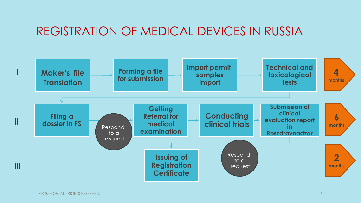### REGISTRATION OF MEDICAL DEVICES IN RUSSIA

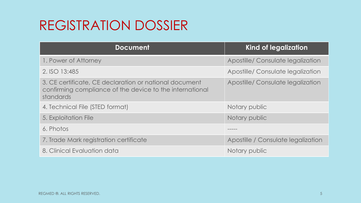# REGISTRATION DOSSIER

| <b>Document</b>                                                                                                                 | <b>Kind of legalization</b>        |
|---------------------------------------------------------------------------------------------------------------------------------|------------------------------------|
| 1. Power of Attorney                                                                                                            | Apostille/ Consulate legalization  |
| 2. ISO 13:485                                                                                                                   | Apostille/ Consulate legalization  |
| 3. CE certificate, CE declaration or national document<br>confirming compliance of the device to the international<br>standards | Apostille/ Consulate legalization  |
| 4. Technical File (STED format)                                                                                                 | Notary public                      |
| 5. Exploitation File                                                                                                            | Notary public                      |
| 6. Photos                                                                                                                       |                                    |
| 7. Trade Mark registration certificate                                                                                          | Apostille / Consulate legalization |
| 8. Clinical Evaluation data                                                                                                     | Notary public                      |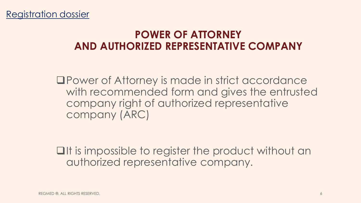### **POWER OF ATTORNEY AND AUTHORIZED REPRESENTATIVE COMPANY**

Power of Attorney is made in strict accordance with recommended form and gives the entrusted company right of authorized representative company (ARC)

 $\Box$ It is impossible to register the product without an authorized representative company.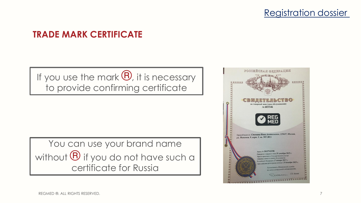

#### **TRADE MARK CERTIFICATE**

If you use the mark  $\mathbf{\Theta}$ , it is necessary to provide confirming certificate

You can use your brand name without  $\bigoplus$  if you do not have such a certificate for Russia

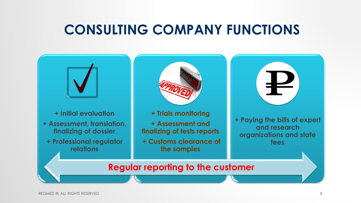# **CONSULTING COMPANY FUNCTIONS**

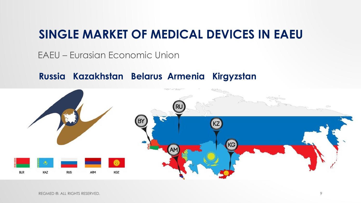### **SINGLE MARKET OF MEDICAL DEVICES IN EAEU**

EAEU – Eurasian Economic Union

**Russia Kazakhstan Belarus Armenia Kirgyzstan**

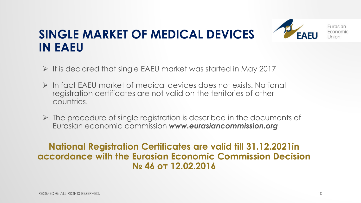# **SINGLE MARKET OF MEDICAL DEVICES IN EAEU**



Furasian Fronomic **Jnjon** 

- $\triangleright$  It is declared that single EAEU market was started in May 2017
- In fact EAEU market of medical devices does not exists. National registration certificates are not valid on the territories of other countries.
- $\triangleright$  The procedure of single registration is described in the documents of Eurasian economic commission *www.eurasiancommission.org*

#### **National Registration Certificates are valid till 31.12.2021in accordance with the Eurasian Economic Commission Decision № 46 от 12.02.2016**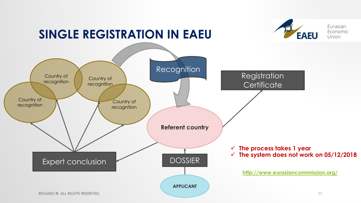### **SINGLE REGISTRATION IN EAEU**



Furasian Economic

Union

**EAEU**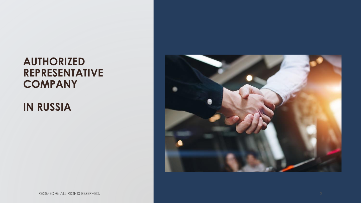### **AUTHORIZED REPRESENTATIVE COMPANY**

**IN RUSSIA**

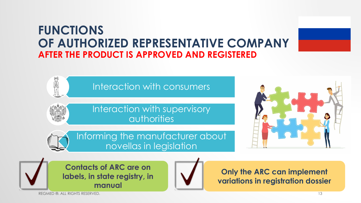### **FUNCTIONS OF AUTHORIZED REPRESENTATIVE COMPANY AFTER THE PRODUCT IS APPROVED AND REGISTERED**



Interaction with supervisory authorities

Informing the manufacturer about novellas in legislation



**Contacts of ARC are on labels, in state registry, in manual**



**Only the ARC can implement variations in registration dossier**

REGMED ®. ALL RIGHTS RESERVED. 13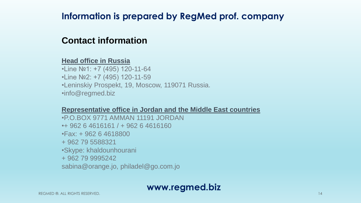### **Information is prepared by RegMed prof. company**

#### **Contact information**

#### **Head office in Russia**

•Line №1: +7 (495) 120-11-64 •Line Nº2: +7 (495) 120-11-59 •Leninskiy Prospekt, 19, Moscow, 119071 Russia. •info@regmed.biz

#### **Representative office in Jordan and the Middle East countries**

•P.O.BOX 9771 AMMAN 11191 JORDAN •+ 962 6 4616161 / + 962 6 4616160 •Fax: + 962 6 4618800 + 962 79 5588321 •Skype: khaldounhourani + 962 79 9995242 sabina@orange.jo, philadel@go.com.jo

#### **www.regmed.biz**